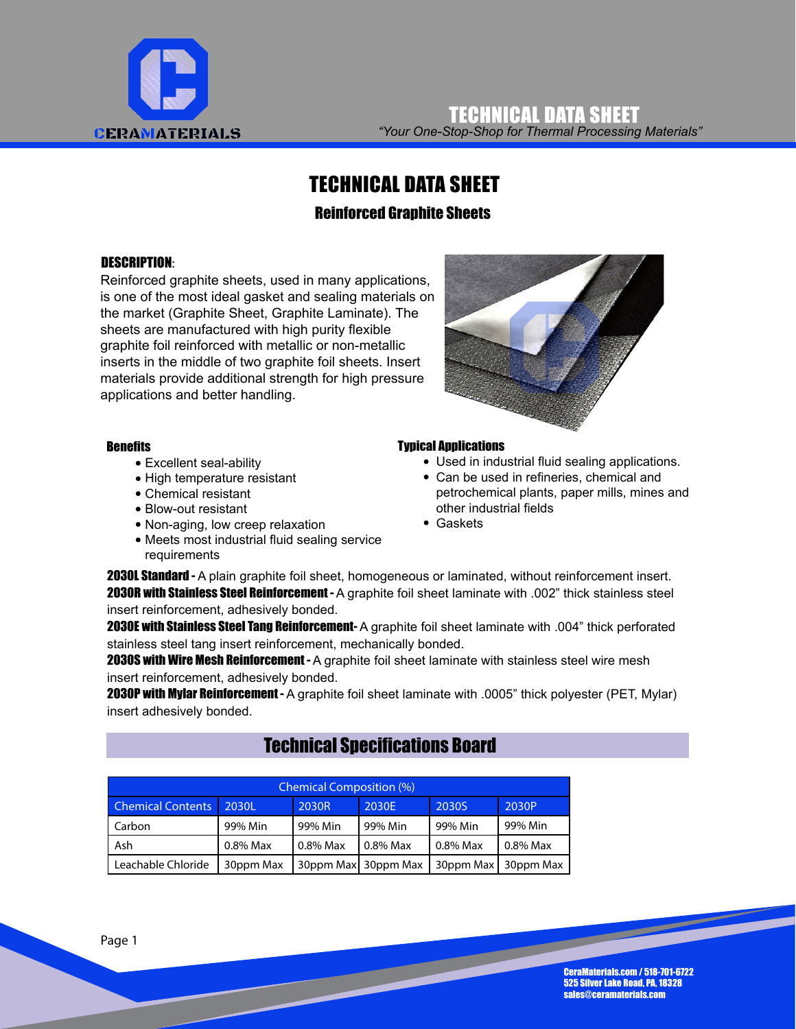

*"Your One-Stop-Shop for Thermal Processing Materials"* TECHNICAL DATA SHEET

## TECHNICAL DATA SHEET

#### Reinforced Graphite Sheets

#### DESCRIPTION:

Reinforced graphite sheets, used in many applications, is one of the most ideal gasket and sealing materials on the market (Graphite Sheet, Graphite Laminate). The sheets are manufactured with high purity flexible graphite foil reinforced with metallic or non-metallic inserts in the middle of two graphite foil sheets. Insert materials provide additional strength for high pressure applications and better handling.

#### **Benefits**

- Excellent seal-ability
- High temperature resistant
- Chemical resistant
- Blow-out resistant
- Non-aging, low creep relaxation
- Meets most industrial fluid sealing service requirements



#### Typical Applications

- Used in industrial fluid sealing applications.
- Can be used in refineries, chemical and petrochemical plants, paper mills, mines and other industrial fields
- Gaskets

**2030L Standard -** A plain graphite foil sheet, homogeneous or laminated, without reinforcement insert. 2030R with Stainless Steel Reinforcement - A graphite foil sheet laminate with .002" thick stainless steel insert reinforcement, adhesively bonded.

2030E with Stainless Steel Tang Reinforcement- A graphite foil sheet laminate with .004" thick perforated stainless steel tang insert reinforcement, mechanically bonded.

2030S with Wire Mesh Reinforcement - A graphite foil sheet laminate with stainless steel wire mesh insert reinforcement, adhesively bonded.

2030P with Mylar Reinforcement - A graphite foil sheet laminate with .0005" thick polyester (PET, Mylar) insert adhesively bonded.

## Technical Specifications Board

| <b>Chemical Composition (%)</b>            |           |          |                     |           |           |
|--------------------------------------------|-----------|----------|---------------------|-----------|-----------|
| <b>Chemical Contents</b><br>2030L<br>2030R |           | 2030E    | 2030S               | 2030P     |           |
| Carbon                                     | 99% Min   | 99% Min  | 99% Min             | 99% Min   | 99% Min   |
| Ash                                        | 0.8% Max  | 0.8% Max | 0.8% Max            | 0.8% Max  | 0.8% Max  |
| Leachable Chloride                         | 30ppm Max |          | 30ppm Max 30ppm Max | 30ppm Max | 30ppm Max |